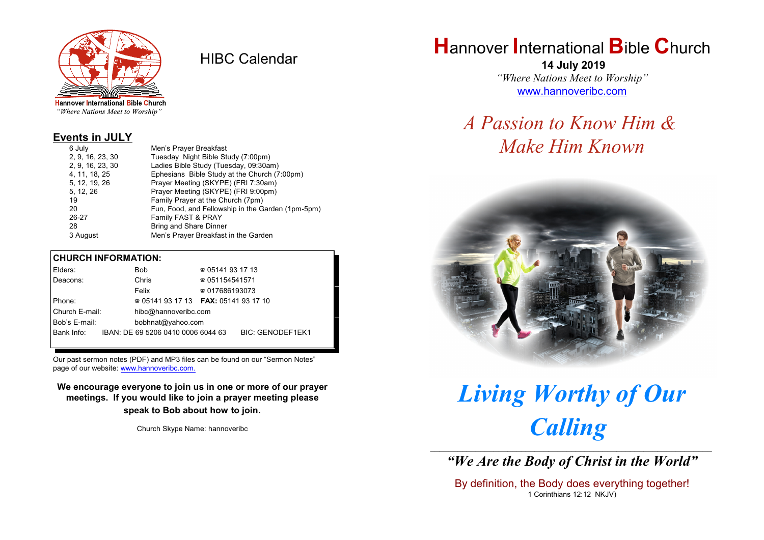

HIBC Calendar

"Where Nations Meet to Worship"

#### **Events in JULY**

| 6 July           | Men's Prayer Breakfast                            |
|------------------|---------------------------------------------------|
| 2, 9, 16, 23, 30 | Tuesday Night Bible Study (7:00pm)                |
| 2, 9, 16, 23, 30 | Ladies Bible Study (Tuesday, 09:30am)             |
| 4, 11, 18, 25    | Ephesians Bible Study at the Church (7:00pm)      |
| 5, 12, 19, 26    | Prayer Meeting (SKYPE) (FRI 7:30am)               |
| 5, 12, 26        | Prayer Meeting (SKYPE) (FRI 9:00pm)               |
| 19               | Family Prayer at the Church (7pm)                 |
| 20               | Fun, Food, and Fellowship in the Garden (1pm-5pm) |
| 26-27            | Family FAST & PRAY                                |
| 28               | <b>Bring and Share Dinner</b>                     |
| 3 August         | Men's Prayer Breakfast in the Garden              |

#### **CHURCH INFORMATION:**

|                | Elders:                            |                                          | Bob                                | $\approx 05141931713$  |                         |  |
|----------------|------------------------------------|------------------------------------------|------------------------------------|------------------------|-------------------------|--|
|                | Deacons:                           |                                          | Chris                              | $\approx 051154541571$ |                         |  |
|                |                                    |                                          | Felix                              | $\approx 017686193073$ |                         |  |
| Phone:         |                                    | $\approx 05141931713$ FAX: 0514193 17 10 |                                    |                        |                         |  |
| Church E-mail: |                                    |                                          | hibc@hannoveribc.com               |                        |                         |  |
|                | Bob's E-mail:<br>bobhnat@yahoo.com |                                          |                                    |                        |                         |  |
|                | Bank Info:                         |                                          | IBAN: DE 69 5206 0410 0006 6044 63 |                        | <b>BIC: GENODEF1EK1</b> |  |
|                |                                    |                                          |                                    |                        |                         |  |

Our past sermon notes (PDF) and MP3 files can be found on our "Sermon Notes" page of our website: [www.hannoveribc.com.](http://www.hannoveribc.com.)

**We encourage everyone to join us in one or more of our prayer meetings. If you would like to join a prayer meeting please speak to Bob about how to join**.

Church Skype Name: hannoveribc

## **H**annover **I**nternational **B**ible **C**hurch

 **14 July 2019** *"Where Nations Meet to Worship"* [www.hannoveribc.com](http://www.hannoveribc.com)

### *A Passion to Know Him & Make Him Known*



# *Living Worthy of Our Calling* \_\_\_\_\_\_\_\_\_\_\_\_\_\_\_\_\_\_\_\_\_\_\_\_\_\_\_\_\_\_\_\_\_\_\_\_\_\_\_\_\_\_\_\_\_\_\_\_\_\_\_\_\_\_\_\_\_\_\_\_\_\_

*"We Are the Body of Christ in the World"*

By definition, the Body does everything together! 1 Corinthians 12:12 NKJV)